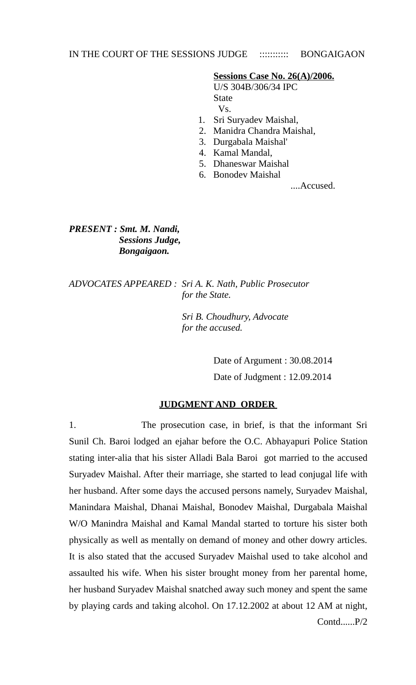# IN THE COURT OF THE SESSIONS JUDGE :::::::::::: BONGAIGAON

## **Sessions Case No. 26(A)/2006.**

 U/S 304B/306/34 IPC **State** State State State State Vs.

- 1. Sri Suryadev Maishal,
- 2. Manidra Chandra Maishal,
- 3. Durgabala Maishal'
- 4. Kamal Mandal,
- 5. Dhaneswar Maishal
- 6. Bonodev Maishal

....Accused.

*PRESENT : Smt. M. Nandi, Sessions Judge, Bongaigaon.* 

*ADVOCATES APPEARED : Sri A. K. Nath, Public Prosecutor for the State.* 

> *Sri B. Choudhury, Advocate for the accused.*

> > Date of Argument : 30.08.2014 Date of Judgment : 12.09.2014

#### **JUDGMENT AND ORDER**

1. The prosecution case, in brief, is that the informant Sri Sunil Ch. Baroi lodged an ejahar before the O.C. Abhayapuri Police Station stating inter-alia that his sister Alladi Bala Baroi got married to the accused Suryadev Maishal. After their marriage, she started to lead conjugal life with her husband. After some days the accused persons namely, Suryadev Maishal, Manindara Maishal, Dhanai Maishal, Bonodev Maishal, Durgabala Maishal W/O Manindra Maishal and Kamal Mandal started to torture his sister both physically as well as mentally on demand of money and other dowry articles. It is also stated that the accused Suryadev Maishal used to take alcohol and assaulted his wife. When his sister brought money from her parental home, her husband Suryadev Maishal snatched away such money and spent the same by playing cards and taking alcohol. On 17.12.2002 at about 12 AM at night, Contd......P/2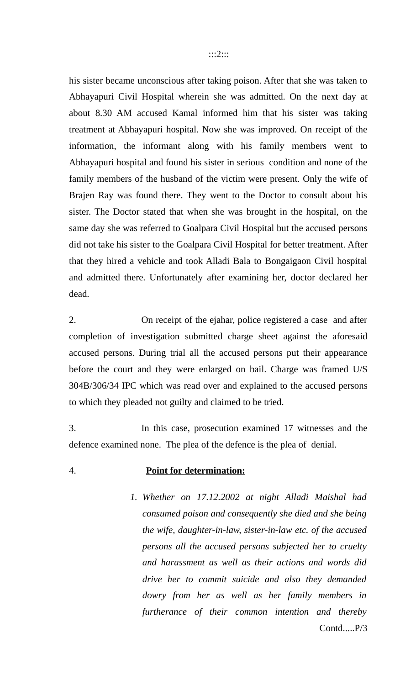his sister became unconscious after taking poison. After that she was taken to Abhayapuri Civil Hospital wherein she was admitted. On the next day at about 8.30 AM accused Kamal informed him that his sister was taking treatment at Abhayapuri hospital. Now she was improved. On receipt of the information, the informant along with his family members went to Abhayapuri hospital and found his sister in serious condition and none of the family members of the husband of the victim were present. Only the wife of Brajen Ray was found there. They went to the Doctor to consult about his sister. The Doctor stated that when she was brought in the hospital, on the same day she was referred to Goalpara Civil Hospital but the accused persons did not take his sister to the Goalpara Civil Hospital for better treatment. After that they hired a vehicle and took Alladi Bala to Bongaigaon Civil hospital and admitted there. Unfortunately after examining her, doctor declared her dead.

2. On receipt of the ejahar, police registered a case and after completion of investigation submitted charge sheet against the aforesaid accused persons. During trial all the accused persons put their appearance before the court and they were enlarged on bail. Charge was framed U/S 304B/306/34 IPC which was read over and explained to the accused persons to which they pleaded not guilty and claimed to be tried.

3. In this case, prosecution examined 17 witnesses and the defence examined none. The plea of the defence is the plea of denial.

4. **Point for determination:**

*1. Whether on 17.12.2002 at night Alladi Maishal had consumed poison and consequently she died and she being the wife, daughter-in-law, sister-in-law etc. of the accused persons all the accused persons subjected her to cruelty and harassment as well as their actions and words did drive her to commit suicide and also they demanded dowry from her as well as her family members in furtherance of their common intention and thereby* Contd.....P/3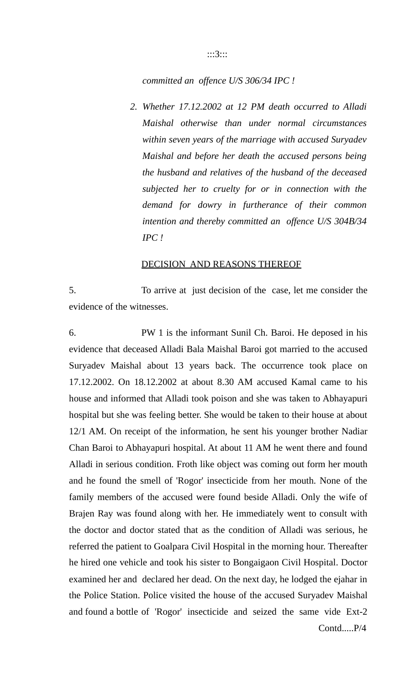#### :::3:::

## *committed an offence U/S 306/34 IPC !*

*2. Whether 17.12.2002 at 12 PM death occurred to Alladi Maishal otherwise than under normal circumstances within seven years of the marriage with accused Suryadev Maishal and before her death the accused persons being the husband and relatives of the husband of the deceased subjected her to cruelty for or in connection with the demand for dowry in furtherance of their common intention and thereby committed an offence U/S 304B/34 IPC !*

## DECISION AND REASONS THEREOF

5. To arrive at just decision of the case, let me consider the evidence of the witnesses.

6. PW 1 is the informant Sunil Ch. Baroi. He deposed in his evidence that deceased Alladi Bala Maishal Baroi got married to the accused Suryadev Maishal about 13 years back. The occurrence took place on 17.12.2002. On 18.12.2002 at about 8.30 AM accused Kamal came to his house and informed that Alladi took poison and she was taken to Abhayapuri hospital but she was feeling better. She would be taken to their house at about 12/1 AM. On receipt of the information, he sent his younger brother Nadiar Chan Baroi to Abhayapuri hospital. At about 11 AM he went there and found Alladi in serious condition. Froth like object was coming out form her mouth and he found the smell of 'Rogor' insecticide from her mouth. None of the family members of the accused were found beside Alladi. Only the wife of Brajen Ray was found along with her. He immediately went to consult with the doctor and doctor stated that as the condition of Alladi was serious, he referred the patient to Goalpara Civil Hospital in the morning hour. Thereafter he hired one vehicle and took his sister to Bongaigaon Civil Hospital. Doctor examined her and declared her dead. On the next day, he lodged the ejahar in the Police Station. Police visited the house of the accused Suryadev Maishal and found a bottle of 'Rogor' insecticide and seized the same vide Ext-2 Contd.....P/4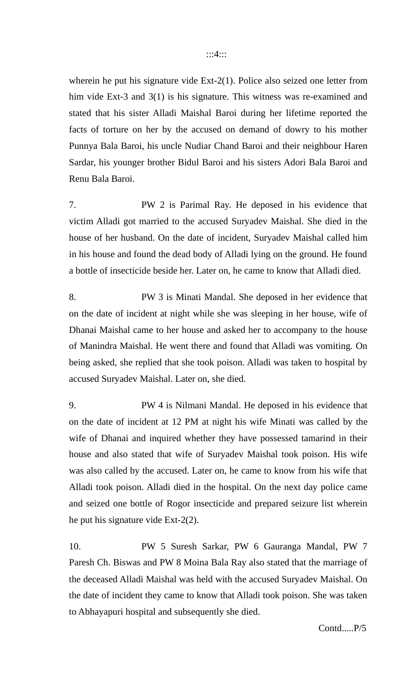wherein he put his signature vide Ext-2(1). Police also seized one letter from him vide Ext-3 and 3(1) is his signature. This witness was re-examined and stated that his sister Alladi Maishal Baroi during her lifetime reported the facts of torture on her by the accused on demand of dowry to his mother Punnya Bala Baroi, his uncle Nudiar Chand Baroi and their neighbour Haren Sardar, his younger brother Bidul Baroi and his sisters Adori Bala Baroi and Renu Bala Baroi.

7. PW 2 is Parimal Ray. He deposed in his evidence that victim Alladi got married to the accused Suryadev Maishal. She died in the house of her husband. On the date of incident, Suryadev Maishal called him in his house and found the dead body of Alladi lying on the ground. He found a bottle of insecticide beside her. Later on, he came to know that Alladi died.

8. PW 3 is Minati Mandal. She deposed in her evidence that on the date of incident at night while she was sleeping in her house, wife of Dhanai Maishal came to her house and asked her to accompany to the house of Manindra Maishal. He went there and found that Alladi was vomiting. On being asked, she replied that she took poison. Alladi was taken to hospital by accused Suryadev Maishal. Later on, she died.

9. PW 4 is Nilmani Mandal. He deposed in his evidence that on the date of incident at 12 PM at night his wife Minati was called by the wife of Dhanai and inquired whether they have possessed tamarind in their house and also stated that wife of Suryadev Maishal took poison. His wife was also called by the accused. Later on, he came to know from his wife that Alladi took poison. Alladi died in the hospital. On the next day police came and seized one bottle of Rogor insecticide and prepared seizure list wherein he put his signature vide Ext-2(2).

10. PW 5 Suresh Sarkar, PW 6 Gauranga Mandal, PW 7 Paresh Ch. Biswas and PW 8 Moina Bala Ray also stated that the marriage of the deceased Alladi Maishal was held with the accused Suryadev Maishal. On the date of incident they came to know that Alladi took poison. She was taken to Abhayapuri hospital and subsequently she died.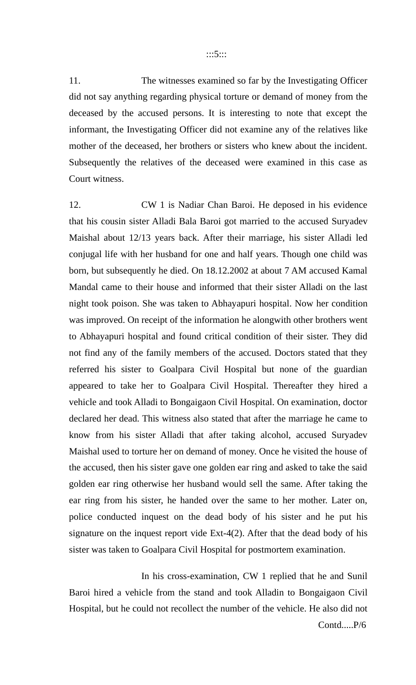11. The witnesses examined so far by the Investigating Officer did not say anything regarding physical torture or demand of money from the deceased by the accused persons. It is interesting to note that except the informant, the Investigating Officer did not examine any of the relatives like mother of the deceased, her brothers or sisters who knew about the incident. Subsequently the relatives of the deceased were examined in this case as Court witness.

12. CW 1 is Nadiar Chan Baroi. He deposed in his evidence that his cousin sister Alladi Bala Baroi got married to the accused Suryadev Maishal about 12/13 years back. After their marriage, his sister Alladi led conjugal life with her husband for one and half years. Though one child was born, but subsequently he died. On 18.12.2002 at about 7 AM accused Kamal Mandal came to their house and informed that their sister Alladi on the last night took poison. She was taken to Abhayapuri hospital. Now her condition was improved. On receipt of the information he alongwith other brothers went to Abhayapuri hospital and found critical condition of their sister. They did not find any of the family members of the accused. Doctors stated that they referred his sister to Goalpara Civil Hospital but none of the guardian appeared to take her to Goalpara Civil Hospital. Thereafter they hired a vehicle and took Alladi to Bongaigaon Civil Hospital. On examination, doctor declared her dead. This witness also stated that after the marriage he came to know from his sister Alladi that after taking alcohol, accused Suryadev Maishal used to torture her on demand of money. Once he visited the house of the accused, then his sister gave one golden ear ring and asked to take the said golden ear ring otherwise her husband would sell the same. After taking the ear ring from his sister, he handed over the same to her mother. Later on, police conducted inquest on the dead body of his sister and he put his signature on the inquest report vide Ext-4(2). After that the dead body of his sister was taken to Goalpara Civil Hospital for postmortem examination.

In his cross-examination, CW 1 replied that he and Sunil Baroi hired a vehicle from the stand and took Alladin to Bongaigaon Civil Hospital, but he could not recollect the number of the vehicle. He also did not Contd.....P/6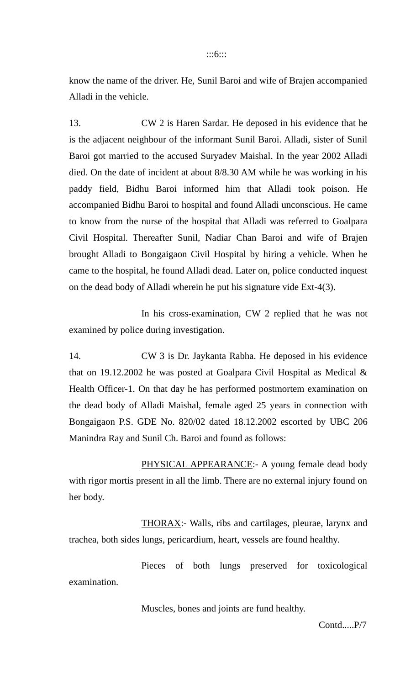#### :::6:::

know the name of the driver. He, Sunil Baroi and wife of Brajen accompanied Alladi in the vehicle.

13. CW 2 is Haren Sardar. He deposed in his evidence that he is the adjacent neighbour of the informant Sunil Baroi. Alladi, sister of Sunil Baroi got married to the accused Suryadev Maishal. In the year 2002 Alladi died. On the date of incident at about 8/8.30 AM while he was working in his paddy field, Bidhu Baroi informed him that Alladi took poison. He accompanied Bidhu Baroi to hospital and found Alladi unconscious. He came to know from the nurse of the hospital that Alladi was referred to Goalpara Civil Hospital. Thereafter Sunil, Nadiar Chan Baroi and wife of Brajen brought Alladi to Bongaigaon Civil Hospital by hiring a vehicle. When he came to the hospital, he found Alladi dead. Later on, police conducted inquest on the dead body of Alladi wherein he put his signature vide Ext-4(3).

In his cross-examination, CW 2 replied that he was not examined by police during investigation.

14. CW 3 is Dr. Jaykanta Rabha. He deposed in his evidence that on 19.12.2002 he was posted at Goalpara Civil Hospital as Medical & Health Officer-1. On that day he has performed postmortem examination on the dead body of Alladi Maishal, female aged 25 years in connection with Bongaigaon P.S. GDE No. 820/02 dated 18.12.2002 escorted by UBC 206 Manindra Ray and Sunil Ch. Baroi and found as follows:

PHYSICAL APPEARANCE: - A young female dead body with rigor mortis present in all the limb. There are no external injury found on her body.

THORAX:- Walls, ribs and cartilages, pleurae, larynx and trachea, both sides lungs, pericardium, heart, vessels are found healthy.

Pieces of both lungs preserved for toxicological examination.

Muscles, bones and joints are fund healthy.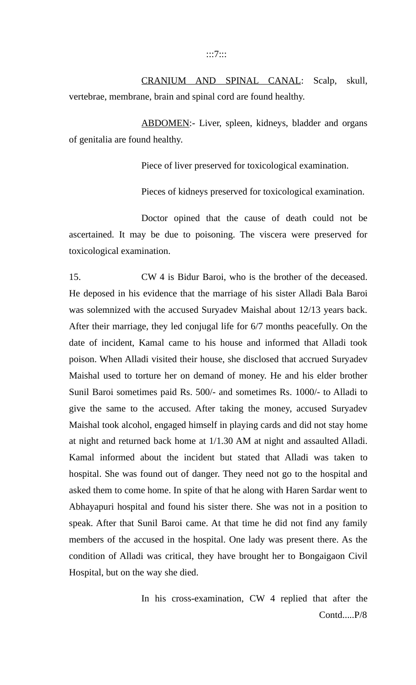CRANIUM AND SPINAL CANAL: Scalp, skull, vertebrae, membrane, brain and spinal cord are found healthy.

ABDOMEN:- Liver, spleen, kidneys, bladder and organs of genitalia are found healthy.

Piece of liver preserved for toxicological examination.

Pieces of kidneys preserved for toxicological examination.

Doctor opined that the cause of death could not be ascertained. It may be due to poisoning. The viscera were preserved for toxicological examination.

15. CW 4 is Bidur Baroi, who is the brother of the deceased. He deposed in his evidence that the marriage of his sister Alladi Bala Baroi was solemnized with the accused Suryadev Maishal about 12/13 years back. After their marriage, they led conjugal life for 6/7 months peacefully. On the date of incident, Kamal came to his house and informed that Alladi took poison. When Alladi visited their house, she disclosed that accrued Suryadev Maishal used to torture her on demand of money. He and his elder brother Sunil Baroi sometimes paid Rs. 500/- and sometimes Rs. 1000/- to Alladi to give the same to the accused. After taking the money, accused Suryadev Maishal took alcohol, engaged himself in playing cards and did not stay home at night and returned back home at 1/1.30 AM at night and assaulted Alladi. Kamal informed about the incident but stated that Alladi was taken to hospital. She was found out of danger. They need not go to the hospital and asked them to come home. In spite of that he along with Haren Sardar went to Abhayapuri hospital and found his sister there. She was not in a position to speak. After that Sunil Baroi came. At that time he did not find any family members of the accused in the hospital. One lady was present there. As the condition of Alladi was critical, they have brought her to Bongaigaon Civil Hospital, but on the way she died.

> In his cross-examination, CW 4 replied that after the Contd.....P/8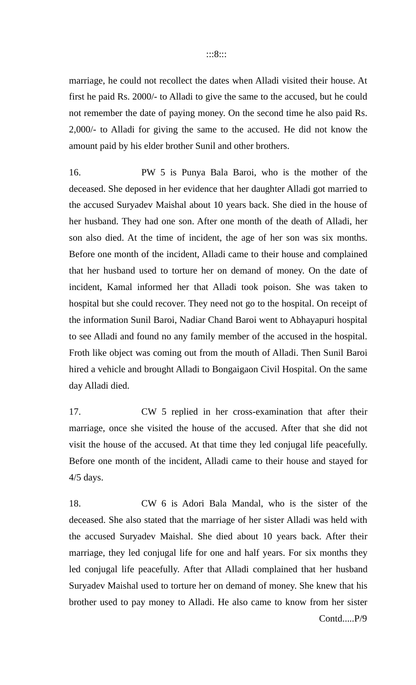#### :::8:::

marriage, he could not recollect the dates when Alladi visited their house. At first he paid Rs. 2000/- to Alladi to give the same to the accused, but he could not remember the date of paying money. On the second time he also paid Rs. 2,000/- to Alladi for giving the same to the accused. He did not know the amount paid by his elder brother Sunil and other brothers.

16. PW 5 is Punya Bala Baroi, who is the mother of the deceased. She deposed in her evidence that her daughter Alladi got married to the accused Suryadev Maishal about 10 years back. She died in the house of her husband. They had one son. After one month of the death of Alladi, her son also died. At the time of incident, the age of her son was six months. Before one month of the incident, Alladi came to their house and complained that her husband used to torture her on demand of money. On the date of incident, Kamal informed her that Alladi took poison. She was taken to hospital but she could recover. They need not go to the hospital. On receipt of the information Sunil Baroi, Nadiar Chand Baroi went to Abhayapuri hospital to see Alladi and found no any family member of the accused in the hospital. Froth like object was coming out from the mouth of Alladi. Then Sunil Baroi hired a vehicle and brought Alladi to Bongaigaon Civil Hospital. On the same day Alladi died.

17. CW 5 replied in her cross-examination that after their marriage, once she visited the house of the accused. After that she did not visit the house of the accused. At that time they led conjugal life peacefully. Before one month of the incident, Alladi came to their house and stayed for 4/5 days.

18. CW 6 is Adori Bala Mandal, who is the sister of the deceased. She also stated that the marriage of her sister Alladi was held with the accused Suryadev Maishal. She died about 10 years back. After their marriage, they led conjugal life for one and half years. For six months they led conjugal life peacefully. After that Alladi complained that her husband Suryadev Maishal used to torture her on demand of money. She knew that his brother used to pay money to Alladi. He also came to know from her sister Contd.....P/9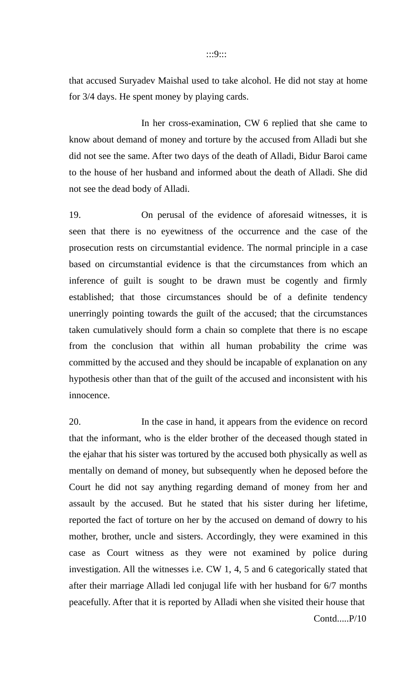that accused Suryadev Maishal used to take alcohol. He did not stay at home for 3/4 days. He spent money by playing cards.

In her cross-examination, CW 6 replied that she came to know about demand of money and torture by the accused from Alladi but she did not see the same. After two days of the death of Alladi, Bidur Baroi came to the house of her husband and informed about the death of Alladi. She did not see the dead body of Alladi.

19. On perusal of the evidence of aforesaid witnesses, it is seen that there is no eyewitness of the occurrence and the case of the prosecution rests on circumstantial evidence. The normal principle in a case based on circumstantial evidence is that the circumstances from which an inference of guilt is sought to be drawn must be cogently and firmly established; that those circumstances should be of a definite tendency unerringly pointing towards the guilt of the accused; that the circumstances taken cumulatively should form a chain so complete that there is no escape from the conclusion that within all human probability the crime was committed by the accused and they should be incapable of explanation on any hypothesis other than that of the guilt of the accused and inconsistent with his innocence.

20. In the case in hand, it appears from the evidence on record that the informant, who is the elder brother of the deceased though stated in the ejahar that his sister was tortured by the accused both physically as well as mentally on demand of money, but subsequently when he deposed before the Court he did not say anything regarding demand of money from her and assault by the accused. But he stated that his sister during her lifetime, reported the fact of torture on her by the accused on demand of dowry to his mother, brother, uncle and sisters. Accordingly, they were examined in this case as Court witness as they were not examined by police during investigation. All the witnesses i.e. CW 1, 4, 5 and 6 categorically stated that after their marriage Alladi led conjugal life with her husband for 6/7 months peacefully. After that it is reported by Alladi when she visited their house that Contd.....P/10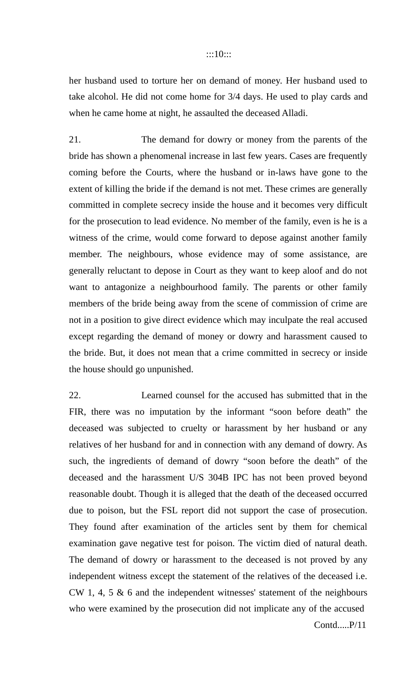#### :::10:::

her husband used to torture her on demand of money. Her husband used to take alcohol. He did not come home for 3/4 days. He used to play cards and when he came home at night, he assaulted the deceased Alladi.

21. The demand for dowry or money from the parents of the bride has shown a phenomenal increase in last few years. Cases are frequently coming before the Courts, where the husband or in-laws have gone to the extent of killing the bride if the demand is not met. These crimes are generally committed in complete secrecy inside the house and it becomes very difficult for the prosecution to lead evidence. No member of the family, even is he is a witness of the crime, would come forward to depose against another family member. The neighbours, whose evidence may of some assistance, are generally reluctant to depose in Court as they want to keep aloof and do not want to antagonize a neighbourhood family. The parents or other family members of the bride being away from the scene of commission of crime are not in a position to give direct evidence which may inculpate the real accused except regarding the demand of money or dowry and harassment caused to the bride. But, it does not mean that a crime committed in secrecy or inside the house should go unpunished.

22. Learned counsel for the accused has submitted that in the FIR, there was no imputation by the informant "soon before death" the deceased was subjected to cruelty or harassment by her husband or any relatives of her husband for and in connection with any demand of dowry. As such, the ingredients of demand of dowry "soon before the death" of the deceased and the harassment U/S 304B IPC has not been proved beyond reasonable doubt. Though it is alleged that the death of the deceased occurred due to poison, but the FSL report did not support the case of prosecution. They found after examination of the articles sent by them for chemical examination gave negative test for poison. The victim died of natural death. The demand of dowry or harassment to the deceased is not proved by any independent witness except the statement of the relatives of the deceased i.e. CW 1, 4, 5 & 6 and the independent witnesses' statement of the neighbours who were examined by the prosecution did not implicate any of the accused Contd.....P/11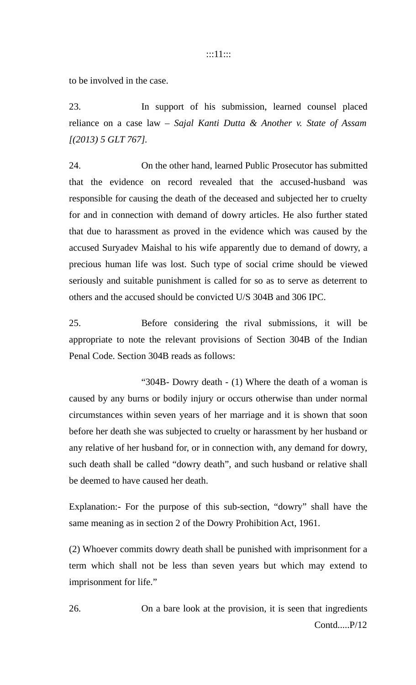#### :::11:::

to be involved in the case.

23. In support of his submission, learned counsel placed reliance on a case law – *Sajal Kanti Dutta & Another v. State of Assam [(2013) 5 GLT 767].* 

24. On the other hand, learned Public Prosecutor has submitted that the evidence on record revealed that the accused-husband was responsible for causing the death of the deceased and subjected her to cruelty for and in connection with demand of dowry articles. He also further stated that due to harassment as proved in the evidence which was caused by the accused Suryadev Maishal to his wife apparently due to demand of dowry, a precious human life was lost. Such type of social crime should be viewed seriously and suitable punishment is called for so as to serve as deterrent to others and the accused should be convicted U/S 304B and 306 IPC.

25. Before considering the rival submissions, it will be appropriate to note the relevant provisions of Section 304B of the Indian Penal Code. Section 304B reads as follows:

"304B- Dowry death - (1) Where the death of a woman is caused by any burns or bodily injury or occurs otherwise than under normal circumstances within seven years of her marriage and it is shown that soon before her death she was subjected to cruelty or harassment by her husband or any relative of her husband for, or in connection with, any demand for dowry, such death shall be called "dowry death", and such husband or relative shall be deemed to have caused her death.

Explanation:- For the purpose of this sub-section, "dowry" shall have the same meaning as in section 2 of the Dowry Prohibition Act, 1961.

(2) Whoever commits dowry death shall be punished with imprisonment for a term which shall not be less than seven years but which may extend to imprisonment for life."

26. On a bare look at the provision, it is seen that ingredients Contd.....P/12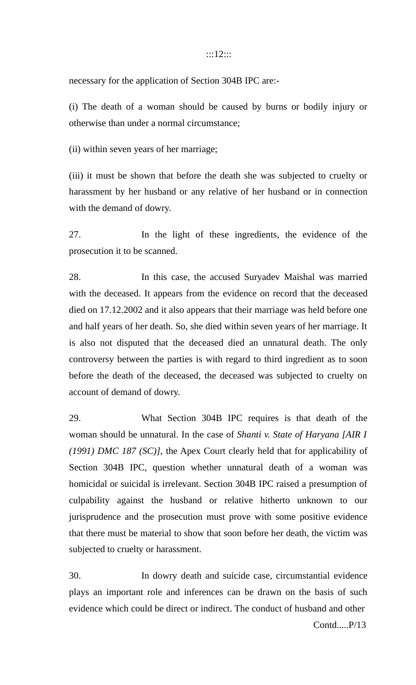#### :::12:::

necessary for the application of Section 304B IPC are:-

(i) The death of a woman should be caused by burns or bodily injury or otherwise than under a normal circumstance;

(ii) within seven years of her marriage;

(iii) it must be shown that before the death she was subjected to cruelty or harassment by her husband or any relative of her husband or in connection with the demand of dowry.

27. In the light of these ingredients, the evidence of the prosecution it to be scanned.

28. In this case, the accused Suryadev Maishal was married with the deceased. It appears from the evidence on record that the deceased died on 17.12.2002 and it also appears that their marriage was held before one and half years of her death. So, she died within seven years of her marriage. It is also not disputed that the deceased died an unnatural death. The only controversy between the parties is with regard to third ingredient as to soon before the death of the deceased, the deceased was subjected to cruelty on account of demand of dowry.

29. What Section 304B IPC requires is that death of the woman should be unnatural. In the case of *Shanti v. State of Haryana [AIR I (1991) DMC 187 (SC)]*, the Apex Court clearly held that for applicability of Section 304B IPC, question whether unnatural death of a woman was homicidal or suicidal is irrelevant. Section 304B IPC raised a presumption of culpability against the husband or relative hitherto unknown to our jurisprudence and the prosecution must prove with some positive evidence that there must be material to show that soon before her death, the victim was subjected to cruelty or harassment.

30. In dowry death and suicide case, circumstantial evidence plays an important role and inferences can be drawn on the basis of such evidence which could be direct or indirect. The conduct of husband and other Contd.....P/13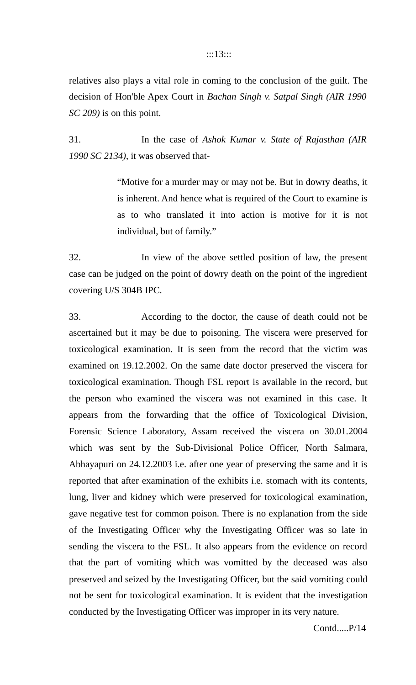#### :::13:::

relatives also plays a vital role in coming to the conclusion of the guilt. The decision of Hon'ble Apex Court in *Bachan Singh v. Satpal Singh (AIR 1990 SC 209)* is on this point.

31. In the case of *Ashok Kumar v. State of Rajasthan (AIR 1990 SC 2134)*, it was observed that-

> "Motive for a murder may or may not be. But in dowry deaths, it is inherent. And hence what is required of the Court to examine is as to who translated it into action is motive for it is not individual, but of family."

32. In view of the above settled position of law, the present case can be judged on the point of dowry death on the point of the ingredient covering U/S 304B IPC.

33. According to the doctor, the cause of death could not be ascertained but it may be due to poisoning. The viscera were preserved for toxicological examination. It is seen from the record that the victim was examined on 19.12.2002. On the same date doctor preserved the viscera for toxicological examination. Though FSL report is available in the record, but the person who examined the viscera was not examined in this case. It appears from the forwarding that the office of Toxicological Division, Forensic Science Laboratory, Assam received the viscera on 30.01.2004 which was sent by the Sub-Divisional Police Officer, North Salmara, Abhayapuri on 24.12.2003 i.e. after one year of preserving the same and it is reported that after examination of the exhibits i.e. stomach with its contents, lung, liver and kidney which were preserved for toxicological examination, gave negative test for common poison. There is no explanation from the side of the Investigating Officer why the Investigating Officer was so late in sending the viscera to the FSL. It also appears from the evidence on record that the part of vomiting which was vomitted by the deceased was also preserved and seized by the Investigating Officer, but the said vomiting could not be sent for toxicological examination. It is evident that the investigation conducted by the Investigating Officer was improper in its very nature.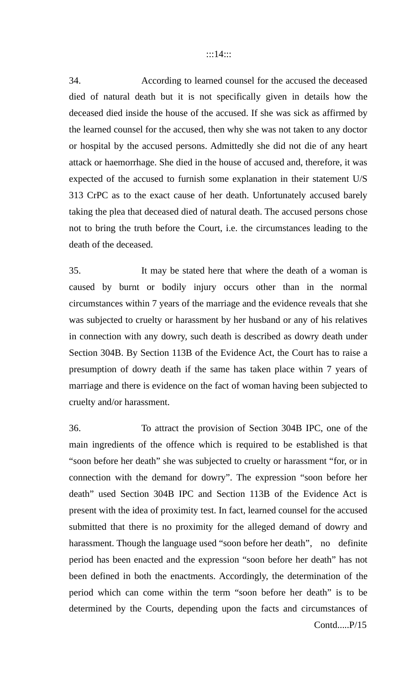#### :::14:::

34. According to learned counsel for the accused the deceased died of natural death but it is not specifically given in details how the deceased died inside the house of the accused. If she was sick as affirmed by the learned counsel for the accused, then why she was not taken to any doctor or hospital by the accused persons. Admittedly she did not die of any heart attack or haemorrhage. She died in the house of accused and, therefore, it was expected of the accused to furnish some explanation in their statement U/S 313 CrPC as to the exact cause of her death. Unfortunately accused barely taking the plea that deceased died of natural death. The accused persons chose not to bring the truth before the Court, i.e. the circumstances leading to the death of the deceased.

35. It may be stated here that where the death of a woman is caused by burnt or bodily injury occurs other than in the normal circumstances within 7 years of the marriage and the evidence reveals that she was subjected to cruelty or harassment by her husband or any of his relatives in connection with any dowry, such death is described as dowry death under Section 304B. By Section 113B of the Evidence Act, the Court has to raise a presumption of dowry death if the same has taken place within 7 years of marriage and there is evidence on the fact of woman having been subjected to cruelty and/or harassment.

36. To attract the provision of Section 304B IPC, one of the main ingredients of the offence which is required to be established is that "soon before her death" she was subjected to cruelty or harassment "for, or in connection with the demand for dowry". The expression "soon before her death" used Section 304B IPC and Section 113B of the Evidence Act is present with the idea of proximity test. In fact, learned counsel for the accused submitted that there is no proximity for the alleged demand of dowry and harassment. Though the language used "soon before her death", no definite period has been enacted and the expression "soon before her death" has not been defined in both the enactments. Accordingly, the determination of the period which can come within the term "soon before her death" is to be determined by the Courts, depending upon the facts and circumstances of Contd.....P/15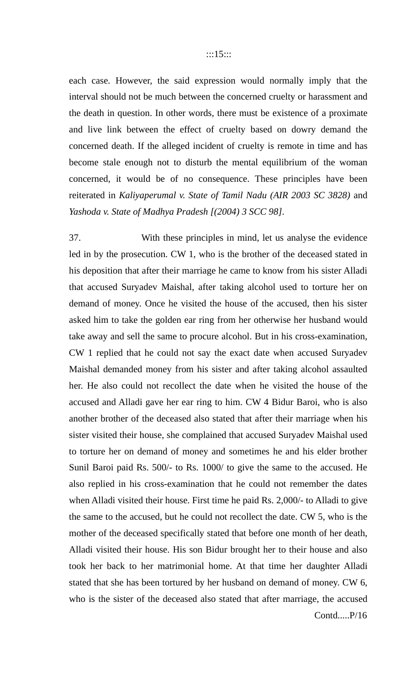each case. However, the said expression would normally imply that the interval should not be much between the concerned cruelty or harassment and the death in question. In other words, there must be existence of a proximate and live link between the effect of cruelty based on dowry demand the concerned death. If the alleged incident of cruelty is remote in time and has become stale enough not to disturb the mental equilibrium of the woman concerned, it would be of no consequence. These principles have been reiterated in *Kaliyaperumal v. State of Tamil Nadu (AIR 2003 SC 3828)* and *Yashoda v. State of Madhya Pradesh [(2004) 3 SCC 98]*.

37. With these principles in mind, let us analyse the evidence led in by the prosecution. CW 1, who is the brother of the deceased stated in his deposition that after their marriage he came to know from his sister Alladi that accused Suryadev Maishal, after taking alcohol used to torture her on demand of money. Once he visited the house of the accused, then his sister asked him to take the golden ear ring from her otherwise her husband would take away and sell the same to procure alcohol. But in his cross-examination, CW 1 replied that he could not say the exact date when accused Suryadev Maishal demanded money from his sister and after taking alcohol assaulted her. He also could not recollect the date when he visited the house of the accused and Alladi gave her ear ring to him. CW 4 Bidur Baroi, who is also another brother of the deceased also stated that after their marriage when his sister visited their house, she complained that accused Suryadev Maishal used to torture her on demand of money and sometimes he and his elder brother Sunil Baroi paid Rs. 500/- to Rs. 1000/ to give the same to the accused. He also replied in his cross-examination that he could not remember the dates when Alladi visited their house. First time he paid Rs. 2,000/- to Alladi to give the same to the accused, but he could not recollect the date. CW 5, who is the mother of the deceased specifically stated that before one month of her death, Alladi visited their house. His son Bidur brought her to their house and also took her back to her matrimonial home. At that time her daughter Alladi stated that she has been tortured by her husband on demand of money. CW 6, who is the sister of the deceased also stated that after marriage, the accused Contd.....P/16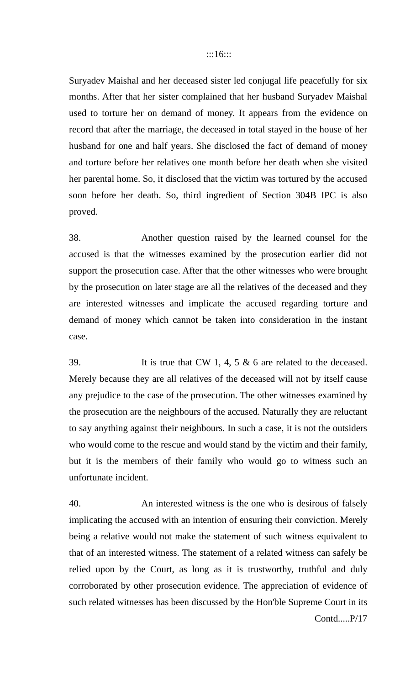Suryadev Maishal and her deceased sister led conjugal life peacefully for six months. After that her sister complained that her husband Suryadev Maishal used to torture her on demand of money. It appears from the evidence on record that after the marriage, the deceased in total stayed in the house of her husband for one and half years. She disclosed the fact of demand of money and torture before her relatives one month before her death when she visited her parental home. So, it disclosed that the victim was tortured by the accused soon before her death. So, third ingredient of Section 304B IPC is also proved.

38. Another question raised by the learned counsel for the accused is that the witnesses examined by the prosecution earlier did not support the prosecution case. After that the other witnesses who were brought by the prosecution on later stage are all the relatives of the deceased and they are interested witnesses and implicate the accused regarding torture and demand of money which cannot be taken into consideration in the instant case.

39. It is true that CW 1, 4, 5 & 6 are related to the deceased. Merely because they are all relatives of the deceased will not by itself cause any prejudice to the case of the prosecution. The other witnesses examined by the prosecution are the neighbours of the accused. Naturally they are reluctant to say anything against their neighbours. In such a case, it is not the outsiders who would come to the rescue and would stand by the victim and their family, but it is the members of their family who would go to witness such an unfortunate incident.

40. An interested witness is the one who is desirous of falsely implicating the accused with an intention of ensuring their conviction. Merely being a relative would not make the statement of such witness equivalent to that of an interested witness. The statement of a related witness can safely be relied upon by the Court, as long as it is trustworthy, truthful and duly corroborated by other prosecution evidence. The appreciation of evidence of such related witnesses has been discussed by the Hon'ble Supreme Court in its Contd.....P/17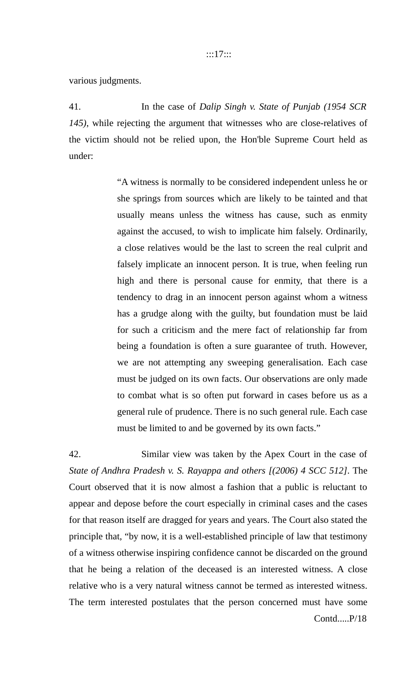various judgments.

41. In the case of *Dalip Singh v. State of Punjab (1954 SCR 145)*, while rejecting the argument that witnesses who are close-relatives of the victim should not be relied upon, the Hon'ble Supreme Court held as under:

> "A witness is normally to be considered independent unless he or she springs from sources which are likely to be tainted and that usually means unless the witness has cause, such as enmity against the accused, to wish to implicate him falsely. Ordinarily, a close relatives would be the last to screen the real culprit and falsely implicate an innocent person. It is true, when feeling run high and there is personal cause for enmity, that there is a tendency to drag in an innocent person against whom a witness has a grudge along with the guilty, but foundation must be laid for such a criticism and the mere fact of relationship far from being a foundation is often a sure guarantee of truth. However, we are not attempting any sweeping generalisation. Each case must be judged on its own facts. Our observations are only made to combat what is so often put forward in cases before us as a general rule of prudence. There is no such general rule. Each case must be limited to and be governed by its own facts."

42. Similar view was taken by the Apex Court in the case of *State of Andhra Pradesh v. S. Rayappa and others [(2006) 4 SCC 512]*. The Court observed that it is now almost a fashion that a public is reluctant to appear and depose before the court especially in criminal cases and the cases for that reason itself are dragged for years and years. The Court also stated the principle that, "by now, it is a well-established principle of law that testimony of a witness otherwise inspiring confidence cannot be discarded on the ground that he being a relation of the deceased is an interested witness. A close relative who is a very natural witness cannot be termed as interested witness. The term interested postulates that the person concerned must have some Contd.....P/18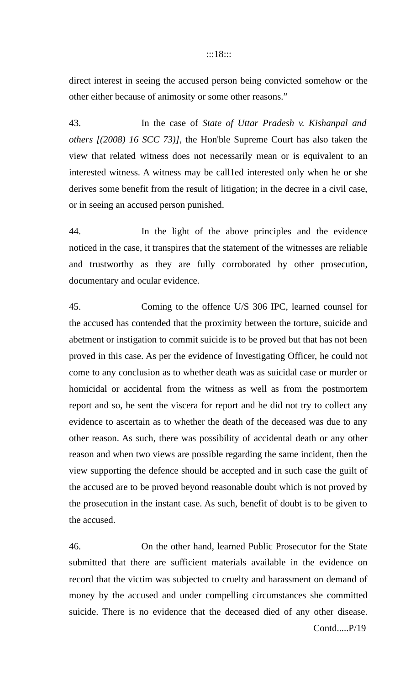#### :::18:::

direct interest in seeing the accused person being convicted somehow or the other either because of animosity or some other reasons."

43. In the case of *State of Uttar Pradesh v. Kishanpal and others [(2008) 16 SCC 73)]*, the Hon'ble Supreme Court has also taken the view that related witness does not necessarily mean or is equivalent to an interested witness. A witness may be call1ed interested only when he or she derives some benefit from the result of litigation; in the decree in a civil case, or in seeing an accused person punished.

44. In the light of the above principles and the evidence noticed in the case, it transpires that the statement of the witnesses are reliable and trustworthy as they are fully corroborated by other prosecution, documentary and ocular evidence.

45. Coming to the offence U/S 306 IPC, learned counsel for the accused has contended that the proximity between the torture, suicide and abetment or instigation to commit suicide is to be proved but that has not been proved in this case. As per the evidence of Investigating Officer, he could not come to any conclusion as to whether death was as suicidal case or murder or homicidal or accidental from the witness as well as from the postmortem report and so, he sent the viscera for report and he did not try to collect any evidence to ascertain as to whether the death of the deceased was due to any other reason. As such, there was possibility of accidental death or any other reason and when two views are possible regarding the same incident, then the view supporting the defence should be accepted and in such case the guilt of the accused are to be proved beyond reasonable doubt which is not proved by the prosecution in the instant case. As such, benefit of doubt is to be given to the accused.

46. On the other hand, learned Public Prosecutor for the State submitted that there are sufficient materials available in the evidence on record that the victim was subjected to cruelty and harassment on demand of money by the accused and under compelling circumstances she committed suicide. There is no evidence that the deceased died of any other disease. Contd.....P/19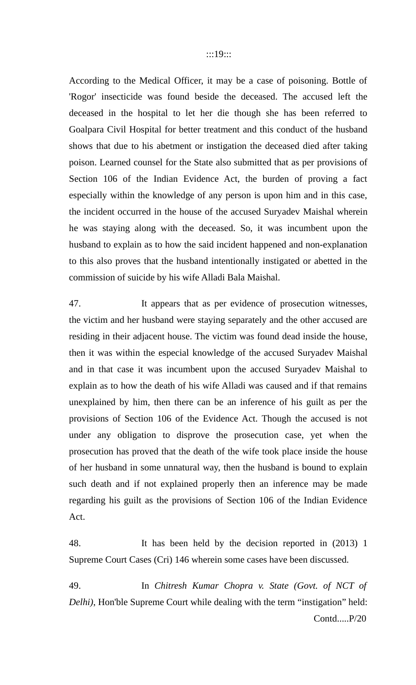According to the Medical Officer, it may be a case of poisoning. Bottle of 'Rogor' insecticide was found beside the deceased. The accused left the deceased in the hospital to let her die though she has been referred to Goalpara Civil Hospital for better treatment and this conduct of the husband shows that due to his abetment or instigation the deceased died after taking poison. Learned counsel for the State also submitted that as per provisions of Section 106 of the Indian Evidence Act, the burden of proving a fact especially within the knowledge of any person is upon him and in this case, the incident occurred in the house of the accused Suryadev Maishal wherein he was staying along with the deceased. So, it was incumbent upon the husband to explain as to how the said incident happened and non-explanation to this also proves that the husband intentionally instigated or abetted in the commission of suicide by his wife Alladi Bala Maishal.

47. It appears that as per evidence of prosecution witnesses, the victim and her husband were staying separately and the other accused are residing in their adjacent house. The victim was found dead inside the house, then it was within the especial knowledge of the accused Suryadev Maishal and in that case it was incumbent upon the accused Suryadev Maishal to explain as to how the death of his wife Alladi was caused and if that remains unexplained by him, then there can be an inference of his guilt as per the provisions of Section 106 of the Evidence Act. Though the accused is not under any obligation to disprove the prosecution case, yet when the prosecution has proved that the death of the wife took place inside the house of her husband in some unnatural way, then the husband is bound to explain such death and if not explained properly then an inference may be made regarding his guilt as the provisions of Section 106 of the Indian Evidence Act.

48. It has been held by the decision reported in (2013) 1 Supreme Court Cases (Cri) 146 wherein some cases have been discussed.

49. In *Chitresh Kumar Chopra v. State (Govt. of NCT of Delhi)*, Hon'ble Supreme Court while dealing with the term "instigation" held: Contd.....P/20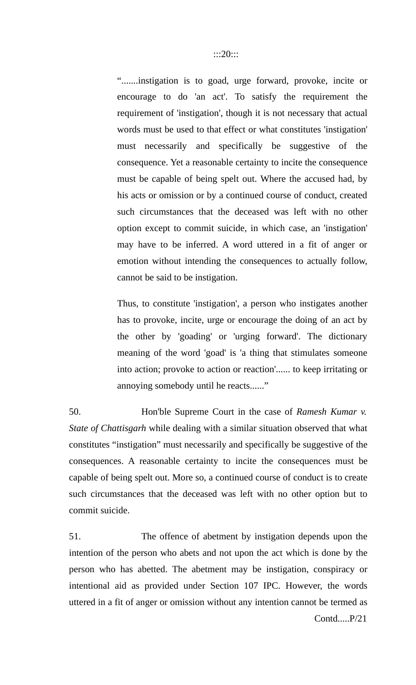".......instigation is to goad, urge forward, provoke, incite or encourage to do 'an act'. To satisfy the requirement the requirement of 'instigation', though it is not necessary that actual words must be used to that effect or what constitutes 'instigation' must necessarily and specifically be suggestive of the consequence. Yet a reasonable certainty to incite the consequence must be capable of being spelt out. Where the accused had, by his acts or omission or by a continued course of conduct, created such circumstances that the deceased was left with no other option except to commit suicide, in which case, an 'instigation' may have to be inferred. A word uttered in a fit of anger or emotion without intending the consequences to actually follow, cannot be said to be instigation.

Thus, to constitute 'instigation', a person who instigates another has to provoke, incite, urge or encourage the doing of an act by the other by 'goading' or 'urging forward'. The dictionary meaning of the word 'goad' is 'a thing that stimulates someone into action; provoke to action or reaction'...... to keep irritating or annoying somebody until he reacts......"

50. Hon'ble Supreme Court in the case of *Ramesh Kumar v. State of Chattisgarh* while dealing with a similar situation observed that what constitutes "instigation" must necessarily and specifically be suggestive of the consequences. A reasonable certainty to incite the consequences must be capable of being spelt out. More so, a continued course of conduct is to create such circumstances that the deceased was left with no other option but to commit suicide.

51. The offence of abetment by instigation depends upon the intention of the person who abets and not upon the act which is done by the person who has abetted. The abetment may be instigation, conspiracy or intentional aid as provided under Section 107 IPC. However, the words uttered in a fit of anger or omission without any intention cannot be termed as Contd.....P/21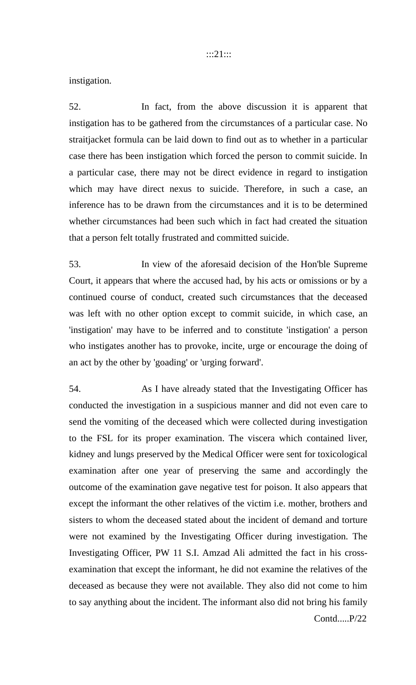instigation.

52. In fact, from the above discussion it is apparent that instigation has to be gathered from the circumstances of a particular case. No straitjacket formula can be laid down to find out as to whether in a particular case there has been instigation which forced the person to commit suicide. In a particular case, there may not be direct evidence in regard to instigation which may have direct nexus to suicide. Therefore, in such a case, an inference has to be drawn from the circumstances and it is to be determined whether circumstances had been such which in fact had created the situation that a person felt totally frustrated and committed suicide.

53. In view of the aforesaid decision of the Hon'ble Supreme Court, it appears that where the accused had, by his acts or omissions or by a continued course of conduct, created such circumstances that the deceased was left with no other option except to commit suicide, in which case, an 'instigation' may have to be inferred and to constitute 'instigation' a person who instigates another has to provoke, incite, urge or encourage the doing of an act by the other by 'goading' or 'urging forward'.

54. As I have already stated that the Investigating Officer has conducted the investigation in a suspicious manner and did not even care to send the vomiting of the deceased which were collected during investigation to the FSL for its proper examination. The viscera which contained liver, kidney and lungs preserved by the Medical Officer were sent for toxicological examination after one year of preserving the same and accordingly the outcome of the examination gave negative test for poison. It also appears that except the informant the other relatives of the victim i.e. mother, brothers and sisters to whom the deceased stated about the incident of demand and torture were not examined by the Investigating Officer during investigation. The Investigating Officer, PW 11 S.I. Amzad Ali admitted the fact in his crossexamination that except the informant, he did not examine the relatives of the deceased as because they were not available. They also did not come to him to say anything about the incident. The informant also did not bring his family Contd.....P/22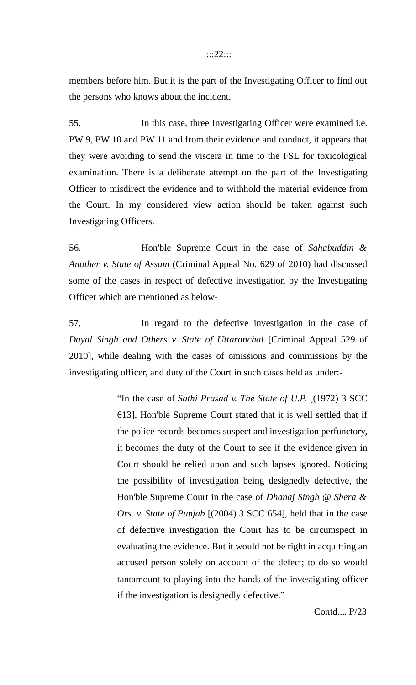#### :::22:::

members before him. But it is the part of the Investigating Officer to find out the persons who knows about the incident.

55. In this case, three Investigating Officer were examined i.e. PW 9, PW 10 and PW 11 and from their evidence and conduct, it appears that they were avoiding to send the viscera in time to the FSL for toxicological examination. There is a deliberate attempt on the part of the Investigating Officer to misdirect the evidence and to withhold the material evidence from the Court. In my considered view action should be taken against such Investigating Officers.

56. Hon'ble Supreme Court in the case of *Sahabuddin & Another v. State of Assam* (Criminal Appeal No. 629 of 2010) had discussed some of the cases in respect of defective investigation by the Investigating Officer which are mentioned as below-

57. In regard to the defective investigation in the case of *Dayal Singh and Others v. State of Uttaranchal* [Criminal Appeal 529 of 2010]*,* while dealing with the cases of omissions and commissions by the investigating officer, and duty of the Court in such cases held as under:-

> "In the case of *Sathi Prasad v. The State of U.P.* [(1972) 3 SCC 613], Hon'ble Supreme Court stated that it is well settled that if the police records becomes suspect and investigation perfunctory, it becomes the duty of the Court to see if the evidence given in Court should be relied upon and such lapses ignored. Noticing the possibility of investigation being designedly defective, the Hon'ble Supreme Court in the case of *Dhanaj Singh @ Shera & Ors. v. State of Punjab* [(2004) 3 SCC 654], held that in the case of defective investigation the Court has to be circumspect in evaluating the evidence. But it would not be right in acquitting an accused person solely on account of the defect; to do so would tantamount to playing into the hands of the investigating officer if the investigation is designedly defective."

> > Contd.....P/23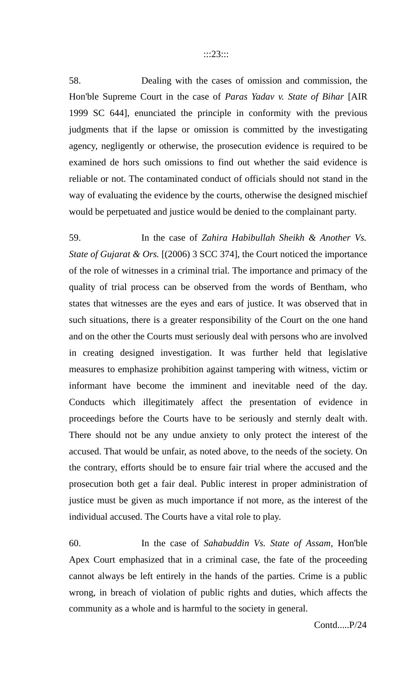#### :::23:::

58. Dealing with the cases of omission and commission, the Hon'ble Supreme Court in the case of *Paras Yadav v. State of Bihar* [AIR 1999 SC 644], enunciated the principle in conformity with the previous judgments that if the lapse or omission is committed by the investigating agency, negligently or otherwise, the prosecution evidence is required to be examined de hors such omissions to find out whether the said evidence is reliable or not. The contaminated conduct of officials should not stand in the way of evaluating the evidence by the courts, otherwise the designed mischief would be perpetuated and justice would be denied to the complainant party.

59. In the case of *Zahira Habibullah Sheikh & Another Vs. State of Gujarat & Ors.* [(2006) 3 SCC 374], the Court noticed the importance of the role of witnesses in a criminal trial. The importance and primacy of the quality of trial process can be observed from the words of Bentham, who states that witnesses are the eyes and ears of justice. It was observed that in such situations, there is a greater responsibility of the Court on the one hand and on the other the Courts must seriously deal with persons who are involved in creating designed investigation. It was further held that legislative measures to emphasize prohibition against tampering with witness, victim or informant have become the imminent and inevitable need of the day. Conducts which illegitimately affect the presentation of evidence in proceedings before the Courts have to be seriously and sternly dealt with. There should not be any undue anxiety to only protect the interest of the accused. That would be unfair, as noted above, to the needs of the society. On the contrary, efforts should be to ensure fair trial where the accused and the prosecution both get a fair deal. Public interest in proper administration of justice must be given as much importance if not more, as the interest of the individual accused. The Courts have a vital role to play.

60. In the case of *Sahabuddin Vs. State of Assam*, Hon'ble Apex Court emphasized that in a criminal case, the fate of the proceeding cannot always be left entirely in the hands of the parties. Crime is a public wrong, in breach of violation of public rights and duties, which affects the community as a whole and is harmful to the society in general.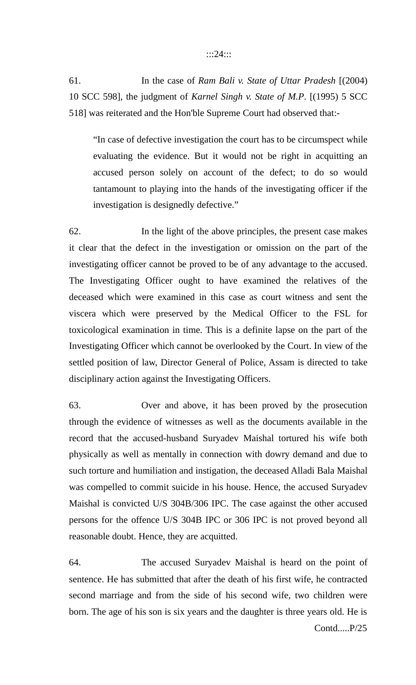#### :::24:::

61. In the case of *Ram Bali v. State of Uttar Pradesh* [(2004) 10 SCC 598], the judgment of *Karnel Singh v. State of M.P*. [(1995) 5 SCC 518] was reiterated and the Hon'ble Supreme Court had observed that:-

"In case of defective investigation the court has to be circumspect while evaluating the evidence. But it would not be right in acquitting an accused person solely on account of the defect; to do so would tantamount to playing into the hands of the investigating officer if the investigation is designedly defective."

62. In the light of the above principles, the present case makes it clear that the defect in the investigation or omission on the part of the investigating officer cannot be proved to be of any advantage to the accused. The Investigating Officer ought to have examined the relatives of the deceased which were examined in this case as court witness and sent the viscera which were preserved by the Medical Officer to the FSL for toxicological examination in time. This is a definite lapse on the part of the Investigating Officer which cannot be overlooked by the Court. In view of the settled position of law, Director General of Police, Assam is directed to take disciplinary action against the Investigating Officers.

63. Over and above, it has been proved by the prosecution through the evidence of witnesses as well as the documents available in the record that the accused-husband Suryadev Maishal tortured his wife both physically as well as mentally in connection with dowry demand and due to such torture and humiliation and instigation, the deceased Alladi Bala Maishal was compelled to commit suicide in his house. Hence, the accused Suryadev Maishal is convicted U/S 304B/306 IPC. The case against the other accused persons for the offence U/S 304B IPC or 306 IPC is not proved beyond all reasonable doubt. Hence, they are acquitted.

64. The accused Suryadev Maishal is heard on the point of sentence. He has submitted that after the death of his first wife, he contracted second marriage and from the side of his second wife, two children were born. The age of his son is six years and the daughter is three years old. He is Contd.....P/25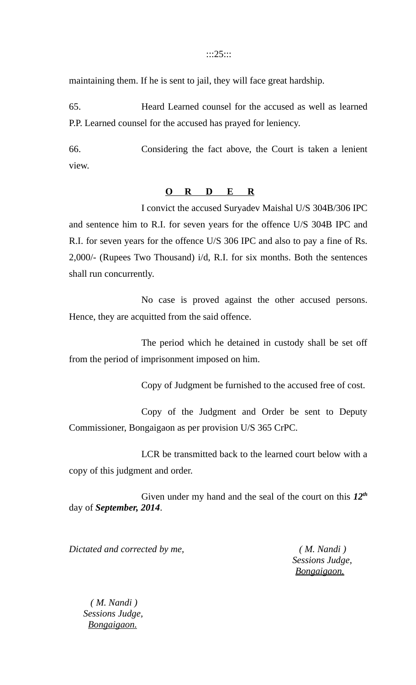#### :::25:::

maintaining them. If he is sent to jail, they will face great hardship.

65. Heard Learned counsel for the accused as well as learned P.P. Learned counsel for the accused has prayed for leniency.

66. Considering the fact above, the Court is taken a lenient view.

# **O R D E R**

I convict the accused Suryadev Maishal U/S 304B/306 IPC and sentence him to R.I. for seven years for the offence U/S 304B IPC and R.I. for seven years for the offence U/S 306 IPC and also to pay a fine of Rs. 2,000/- (Rupees Two Thousand) i/d, R.I. for six months. Both the sentences shall run concurrently.

No case is proved against the other accused persons. Hence, they are acquitted from the said offence.

The period which he detained in custody shall be set off from the period of imprisonment imposed on him.

Copy of Judgment be furnished to the accused free of cost.

Copy of the Judgment and Order be sent to Deputy Commissioner, Bongaigaon as per provision U/S 365 CrPC.

LCR be transmitted back to the learned court below with a copy of this judgment and order.

Given under my hand and the seal of the court on this *12th* day of *September, 2014*.

*Dictated and corrected by me, ( M. Nandi )*

 *Sessions Judge, Bongaigaon.*

 *( M. Nandi ) Sessions Judge, Bongaigaon.*